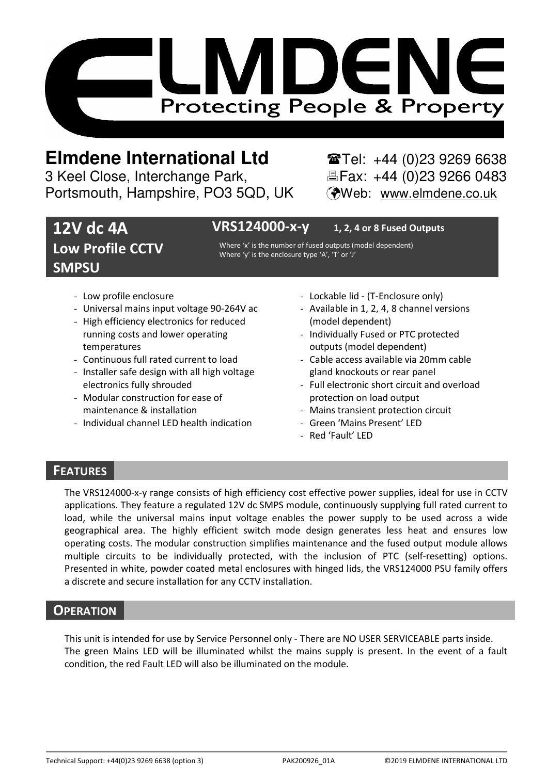

# **Elmdene International Ltd** Tel: +44 (0)23 9269 6638

3 Keel Close, Interchange Park, Electric Fax: +44 (0)23 9266 0483 Portsmouth, Hampshire, PO3 5QD, UK (Web: www.elmdene.co.uk

## **12V dc 4A Low Profile CCTV SMPSU**

## **VRS124000-x-y 1, 2, 4 or 8 Fused Outputs**

Where 'x' is the number of fused outputs (model dependent) Where 'y' is the enclosure type 'A', 'T' or 'J'

- Low profile enclosure
- Universal mains input voltage 90-264V ac
- High efficiency electronics for reduced running costs and lower operating temperatures
- Continuous full rated current to load
- Installer safe design with all high voltage electronics fully shrouded
- Modular construction for ease of maintenance & installation
- Individual channel LED health indication
- Lockable lid (T-Enclosure only)
- Available in 1, 2, 4, 8 channel versions (model dependent)
- Individually Fused or PTC protected outputs (model dependent)
- Cable access available via 20mm cable gland knockouts or rear panel
- Full electronic short circuit and overload protection on load output
- Mains transient protection circuit
- Green 'Mains Present' LED
- Red 'Fault' LED

## **FEATURES**

The VRS124000-x-y range consists of high efficiency cost effective power supplies, ideal for use in CCTV applications. They feature a regulated 12V dc SMPS module, continuously supplying full rated current to load, while the universal mains input voltage enables the power supply to be used across a wide geographical area. The highly efficient switch mode design generates less heat and ensures low operating costs. The modular construction simplifies maintenance and the fused output module allows multiple circuits to be individually protected, with the inclusion of PTC (self-resetting) options. Presented in white, powder coated metal enclosures with hinged lids, the VRS124000 PSU family offers a discrete and secure installation for any CCTV installation.

### **OPERATION**

This unit is intended for use by Service Personnel only - There are NO USER SERVICEABLE parts inside. The green Mains LED will be illuminated whilst the mains supply is present. In the event of a fault condition, the red Fault LED will also be illuminated on the module.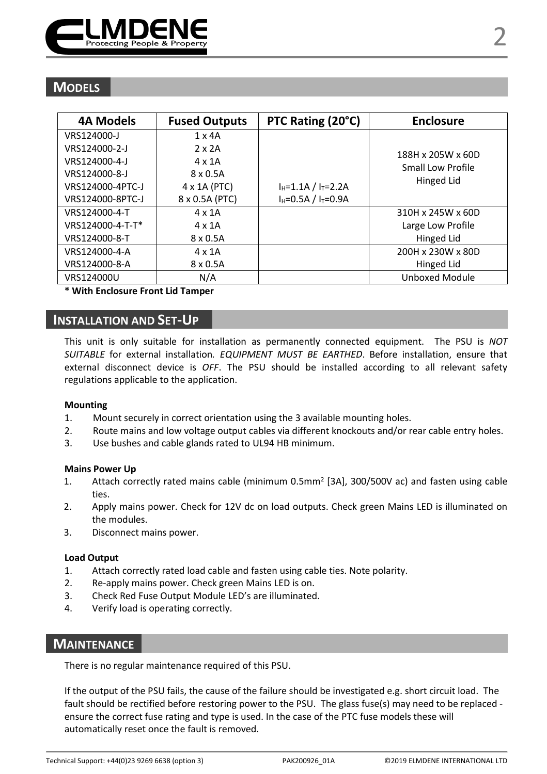

| <b>4A Models</b> | <b>Fused Outputs</b> | PTC Rating (20°C)             | <b>Enclosure</b>  |
|------------------|----------------------|-------------------------------|-------------------|
| VRS124000-J      | $1 \times 4A$        |                               |                   |
| VRS124000-2-J    | $2 \times 2A$        |                               | 188H x 205W x 60D |
| VRS124000-4-J    | $4 \times 1$ A       |                               | Small Low Profile |
| VRS124000-8-J    | $8 \times 0.5$ A     |                               | Hinged Lid        |
| VRS124000-4PTC-J | 4 x 1A (PTC)         | $I_{H} = 1.1A / I_{T} = 2.2A$ |                   |
| VRS124000-8PTC-J | 8 x 0.5A (PTC)       | $I_H = 0.5A / I_T = 0.9A$     |                   |
| VRS124000-4-T    | $4 \times 1$ A       |                               | 310H x 245W x 60D |
| VRS124000-4-T-T* | $4 \times 1$ A       |                               | Large Low Profile |
| VRS124000-8-T    | $8 \times 0.5$ A     |                               | Hinged Lid        |
| VRS124000-4-A    | $4 \times 1$ A       |                               | 200H x 230W x 80D |
| VRS124000-8-A    | $8 \times 0.5$ A     |                               | Hinged Lid        |
| VRS124000U       | N/A                  |                               | Unboxed Module    |

#### **\* With Enclosure Front Lid Tamper**

## **INSTALLATION AND SET-UP**

This unit is only suitable for installation as permanently connected equipment. The PSU is *NOT SUITABLE* for external installation*. EQUIPMENT MUST BE EARTHED*. Before installation, ensure that external disconnect device is *OFF*. The PSU should be installed according to all relevant safety regulations applicable to the application.

#### **Mounting**

- 1. Mount securely in correct orientation using the 3 available mounting holes.
- 2. Route mains and low voltage output cables via different knockouts and/or rear cable entry holes.
- 3. Use bushes and cable glands rated to UL94 HB minimum.

#### **Mains Power Up**

- 1. Attach correctly rated mains cable (minimum 0.5mm<sup>2</sup> [3A], 300/500V ac) and fasten using cable ties.
- 2. Apply mains power. Check for 12V dc on load outputs. Check green Mains LED is illuminated on the modules.
- 3. Disconnect mains power.

#### **Load Output**

- 1. Attach correctly rated load cable and fasten using cable ties. Note polarity.
- 2. Re-apply mains power. Check green Mains LED is on.
- 3. Check Red Fuse Output Module LED's are illuminated.
- 4. Verify load is operating correctly.

## **MAINTENANCE**

There is no regular maintenance required of this PSU.

If the output of the PSU fails, the cause of the failure should be investigated e.g. short circuit load. The fault should be rectified before restoring power to the PSU. The glass fuse(s) may need to be replaced ensure the correct fuse rating and type is used. In the case of the PTC fuse models these will automatically reset once the fault is removed.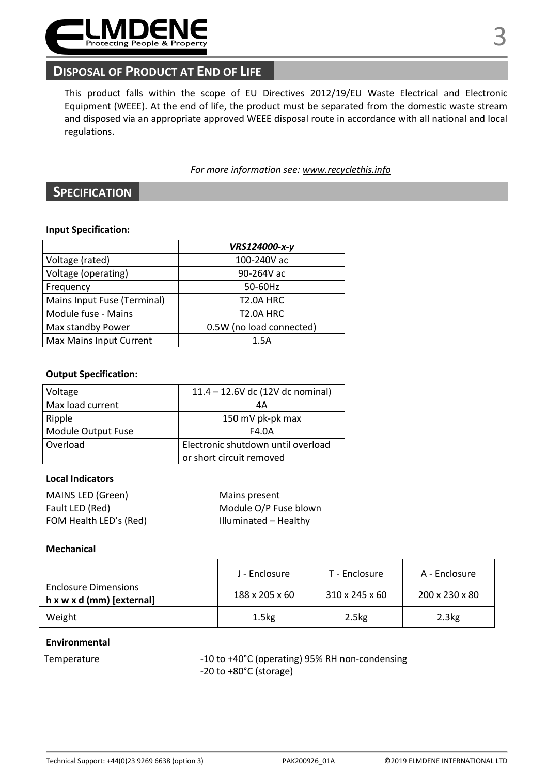

## **DISPOSAL OF PRODUCT AT END OF LIFE**

This product falls within the scope of EU Directives 2012/19/EU Waste Electrical and Electronic Equipment (WEEE). At the end of life, the product must be separated from the domestic waste stream and disposed via an appropriate approved WEEE disposal route in accordance with all national and local regulations.

*For more information see: www.recyclethis.info* 

## **SPECIFICATION**

#### **Input Specification:**

|                             | VRS124000-x-y            |  |
|-----------------------------|--------------------------|--|
| Voltage (rated)             | 100-240V ac              |  |
| Voltage (operating)         | 90-264V ac               |  |
| Frequency                   | 50-60Hz                  |  |
| Mains Input Fuse (Terminal) | <b>T2.0A HRC</b>         |  |
| Module fuse - Mains         | <b>T2.0A HRC</b>         |  |
| Max standby Power           | 0.5W (no load connected) |  |
| Max Mains Input Current     | 1.5A                     |  |

#### **Output Specification:**

| Voltage            | 11.4 - 12.6V dc (12V dc nominal)   |  |
|--------------------|------------------------------------|--|
| Max load current   | 4А                                 |  |
| Ripple             | 150 mV pk-pk max                   |  |
| Module Output Fuse | F4.0A                              |  |
| Overload           | Electronic shutdown until overload |  |
|                    | or short circuit removed           |  |

### **Local Indicators**

| MAINS LED (Green)      | Mains present         |
|------------------------|-----------------------|
| Fault LED (Red)        | Module O/P Fuse blown |
| FOM Health LED's (Red) | Illuminated - Healthy |

#### **Mechanical**

|                                                          | J - Enclosure      | T - Enclosure     | A - Enclosure  |
|----------------------------------------------------------|--------------------|-------------------|----------------|
| <b>Enclosure Dimensions</b><br>h x w x d (mm) [external] | 188 x 205 x 60     | 310 x 245 x 60    | 200 x 230 x 80 |
| Weight                                                   | 1.5 <sub>k</sub> g | 2.5 <sub>kg</sub> | 2.3kg          |

#### **Environmental**

Temperature  $-10$  to +40°C (operating) 95% RH non-condensing -20 to +80°C (storage)